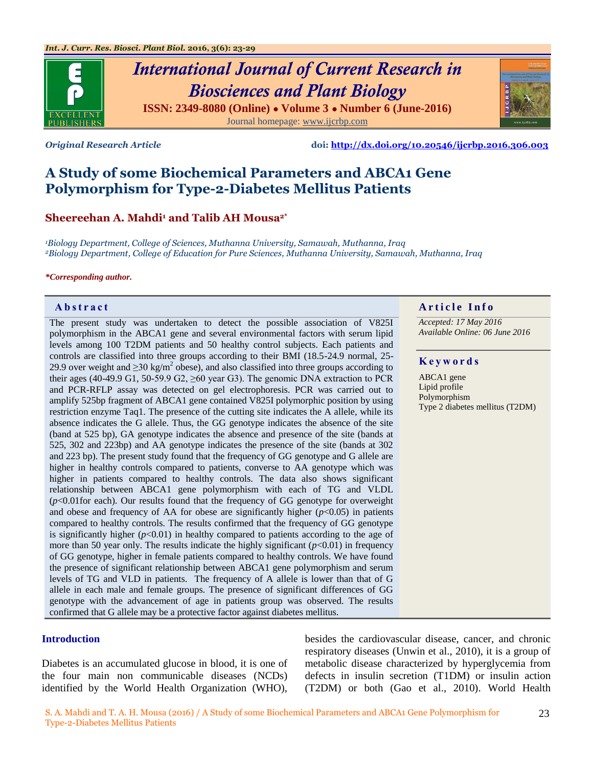

# *International Journal of Current Research in Biosciences and Plant Biology* **ISSN: 2349-8080 (Online) ● Volume 3 ● Number 6 (June-2016)**

Journal homepage: [www.ijcrbp.com](http://www.ijcrbp.com/)

*Original Research Article* **doi:<http://dx.doi.org/10.20546/ijcrbp.2016.306.003>**

## **A Study of some Biochemical Parameters and ABCA1 Gene Polymorphism for Type-2-Diabetes Mellitus Patients**

#### **Sheereehan A. Mahdi<sup>1</sup> and Talib AH Mousa2\***

*<sup>1</sup>Biology Department, College of Sciences, Muthanna University, Samawah, Muthanna, Iraq <sup>2</sup>Biology Department, College of Education for Pure Sciences, Muthanna University, Samawah, Muthanna, Iraq*

#### *\*Corresponding author.*

The present study was undertaken to detect the possible association of V825I polymorphism in the ABCA1 gene and several environmental factors with serum lipid levels among 100 T2DM patients and 50 healthy control subjects. Each patients and controls are classified into three groups according to their BMI (18.5-24.9 normal, 25- 29.9 over weight and  $\geq$ 30 kg/m<sup>2</sup> obese), and also classified into three groups according to their ages (40-49.9 G1, 50-59.9 G2,  $\geq 60$  year G3). The genomic DNA extraction to PCR and PCR-RFLP assay was detected on gel electrophoresis. PCR was carried out to amplify 525bp fragment of ABCA1 gene contained V825I polymorphic position by using restriction enzyme Taq1. The presence of the cutting site indicates the A allele, while its absence indicates the G allele. Thus, the GG genotype indicates the absence of the site (band at 525 bp), GA genotype indicates the absence and presence of the site (bands at 525, 302 and 223bp) and AA genotype indicates the presence of the site (bands at 302 and 223 bp). The present study found that the frequency of GG genotype and G allele are higher in healthy controls compared to patients, converse to AA genotype which was higher in patients compared to healthy controls. The data also shows significant relationship between ABCA1 gene polymorphism with each of TG and VLDL (*p*<0.01for each). Our results found that the frequency of GG genotype for overweight and obese and frequency of AA for obese are significantly higher  $(p<0.05)$  in patients compared to healthy controls. The results confirmed that the frequency of GG genotype is significantly higher  $(p<0.01)$  in healthy compared to patients according to the age of more than 50 year only. The results indicate the highly significant  $(p<0.01)$  in frequency of GG genotype, higher in female patients compared to healthy controls. We have found the presence of significant relationship between ABCA1 gene polymorphism and serum levels of TG and VLD in patients. The frequency of A allele is lower than that of G allele in each male and female groups. The presence of significant differences of GG genotype with the advancement of age in patients group was observed. The results confirmed that G allele may be a protective factor against diabetes mellitus.

#### **Introduction**

Diabetes is an accumulated glucose in blood, it is one of the four main non communicable diseases (NCDs) identified by the World Health Organization (WHO), besides the cardiovascular disease, cancer, and chronic respiratory diseases (Unwin et al., 2010), it is a group of metabolic disease characterized by hyperglycemia from defects in insulin secretion (T1DM) or insulin action (T2DM) or both (Gao et al., 2010). World Health

#### **Abstract A A** rticle Info

*Accepted: 17 May 2016 Available Online: 06 June 2016*

#### **K e y w o r d s**

ABCA1 gene Lipid profile Polymorphism Type 2 diabetes mellitus (T2DM)

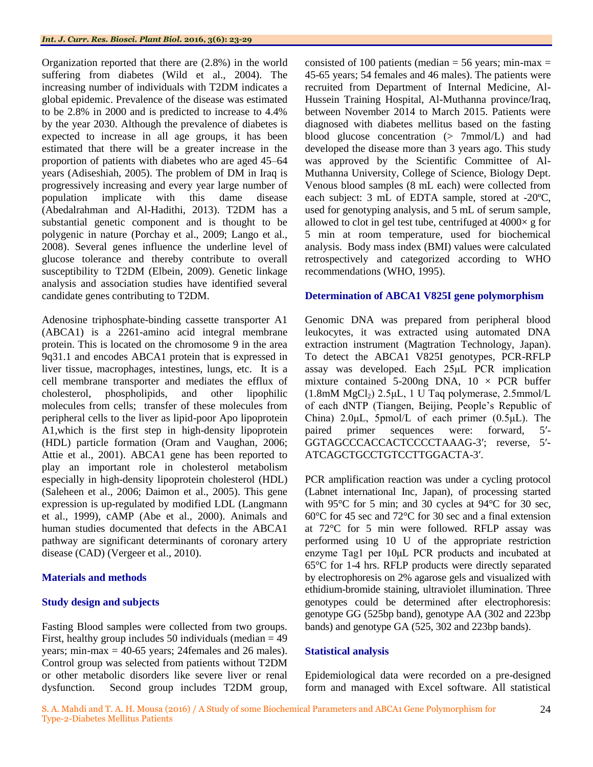Organization reported that there are (2.8%) in the world suffering from diabetes (Wild et al., 2004). The increasing number of individuals with T2DM indicates a global epidemic. Prevalence of the disease was estimated to be 2.8% in 2000 and is predicted to increase to 4.4% by the year 2030. Although the prevalence of diabetes is expected to increase in all age groups, it has been estimated that there will be a greater increase in the proportion of patients with diabetes who are aged 45–64 years (Adiseshiah, 2005). The problem of DM in Iraq is progressively increasing and every year large number of population implicate with this dame disease (Abedalrahman and Al-Hadithi, 2013). T2DM has a substantial genetic component and is thought to be polygenic in nature (Porchay et al., 2009; Lango et al., 2008). Several genes influence the underline level of glucose tolerance and thereby contribute to overall susceptibility to T2DM (Elbein, 2009). Genetic linkage analysis and association studies have identified several candidate genes contributing to T2DM.

Adenosine triphosphate-binding cassette transporter A1 (ABCA1) is a 2261-amino acid integral membrane protein. This is located on the chromosome 9 in the area 9q31.1 and encodes ABCA1 protein that is expressed in liver tissue, macrophages, intestines, lungs, etc. It is a cell membrane transporter and mediates the efflux of cholesterol, phospholipids, and other lipophilic molecules from cells; transfer of these molecules from peripheral cells to the liver as lipid-poor Apo lipoprotein A1,which is the first step in high-density lipoprotein (HDL) particle formation (Oram and Vaughan, 2006; Attie et al., 2001). ABCA1 gene has been reported to play an important role in cholesterol metabolism especially in high-density lipoprotein cholesterol (HDL) (Saleheen et al., 2006; Daimon et al., 2005). This gene expression is up-regulated by modified LDL (Langmann et al., 1999), cAMP (Abe et al., 2000). Animals and human studies documented that defects in the ABCA1 pathway are significant determinants of coronary artery disease (CAD) (Vergeer et al., 2010).

### **Materials and methods**

#### **Study design and subjects**

Fasting Blood samples were collected from two groups. First, healthy group includes 50 individuals (median  $= 49$ ) years; min-max  $=$  40-65 years; 24females and 26 males). Control group was selected from patients without T2DM or other metabolic disorders like severe liver or renal dysfunction. Second group includes T2DM group,

consisted of 100 patients (median = 56 years; min-max = 45-65 years; 54 females and 46 males). The patients were recruited from Department of Internal Medicine, Al-Hussein Training Hospital, Al-Muthanna province/Iraq, between November 2014 to March 2015. Patients were diagnosed with diabetes mellitus based on the fasting blood glucose concentration (> 7mmol/L) and had developed the disease more than 3 years ago. This study was approved by the Scientific Committee of Al-Muthanna University, College of Science, Biology Dept. Venous blood samples (8 mL each) were collected from each subject: 3 mL of EDTA sample, stored at -20ºC, used for genotyping analysis, and 5 mL of serum sample, allowed to clot in gel test tube, centrifuged at  $4000 \times g$  for 5 min at room temperature, used for biochemical analysis. Body mass index (BMI) values were calculated retrospectively and categorized according to WHO recommendations (WHO, 1995).

#### **Determination of ABCA1 V825I gene polymorphism**

Genomic DNA was prepared from peripheral blood leukocytes, it was extracted using automated DNA extraction instrument (Magtration Technology, Japan). To detect the ABCA1 V825I genotypes, PCR-RFLP assay was developed. Each 25μL PCR implication mixture contained 5-200ng DNA,  $10 \times PCR$  buffer  $(1.8 \text{mM MgCl}_2)$  2.5μL, 1 U Taq polymerase, 2.5mmol/L of each dNTP (Tiangen, Beijing, People's Republic of China)  $2.0\mu L$ , 5pmol/L of each primer  $(0.5\mu L)$ . The paired primer sequences were: forward, 5′- GGTAGCCCACCACTCCCCTAAAG-3′; reverse, 5′- ATCAGCTGCCTGTCCTTGGACTA-3′.

PCR amplification reaction was under a cycling protocol (Labnet international Inc, Japan), of processing started with 95<sup>°</sup>C for 5 min; and 30 cycles at 94<sup>°</sup>C for 30 sec, 60°C for 45 sec and 72°C for 30 sec and a final extension at 72°C for 5 min were followed. RFLP assay was performed using 10 U of the appropriate restriction enzyme Tag1 per 10μL PCR products and incubated at 65°C for 1-4 hrs. RFLP products were directly separated by electrophoresis on 2% agarose gels and visualized with ethidium-bromide staining, ultraviolet illumination. Three genotypes could be determined after electrophoresis: genotype GG (525bp band), genotype AA (302 and 223bp bands) and genotype GA (525, 302 and 223bp bands).

#### **Statistical analysis**

Epidemiological data were recorded on a pre-designed form and managed with Excel software. All statistical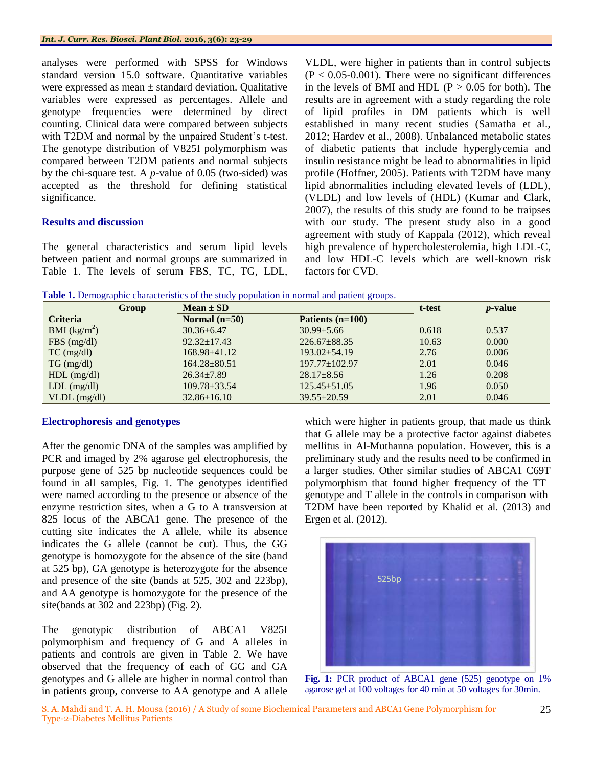analyses were performed with SPSS for Windows standard version 15.0 software. Quantitative variables were expressed as mean  $\pm$  standard deviation. Qualitative variables were expressed as percentages. Allele and genotype frequencies were determined by direct counting. Clinical data were compared between subjects with T2DM and normal by the unpaired Student's t-test. The genotype distribution of V825I polymorphism was compared between T2DM patients and normal subjects by the chi-square test. A *p*-value of 0.05 (two-sided) was accepted as the threshold for defining statistical significance.

#### **Results and discussion**

The general characteristics and serum lipid levels between patient and normal groups are summarized in Table 1. The levels of serum FBS, TC, TG, LDL, VLDL, were higher in patients than in control subjects  $(P < 0.05 - 0.001)$ . There were no significant differences in the levels of BMI and HDL ( $P > 0.05$  for both). The results are in agreement with a study regarding the role of lipid profiles in DM patients which is well established in many recent studies (Samatha et al., 2012; Hardev et al., 2008). Unbalanced metabolic states of diabetic patients that include hyperglycemia and insulin resistance might be lead to abnormalities in lipid profile (Hoffner, 2005). Patients with T2DM have many lipid abnormalities including elevated levels of (LDL), (VLDL) and low levels of (HDL) (Kumar and Clark, 2007), the results of this study are found to be traipses with our study. The present study also in a good agreement with study of Kappala (2012), which reveal high prevalence of hypercholesterolemia, high LDL-C, and low HDL-C levels which are well-known risk factors for CVD.

**Table 1.** Demographic characteristics of the study population in normal and patient groups.

| Group                     | $Mean \pm SD$      |                     | t-test | <i>p</i> -value |
|---------------------------|--------------------|---------------------|--------|-----------------|
| <b>Criteria</b>           | Normal $(n=50)$    | Patients $(n=100)$  |        |                 |
| BMI (kg/m <sup>2</sup> )  | $30.36 \pm 6.47$   | $30.99 \pm 5.66$    | 0.618  | 0.537           |
| $FBS$ (mg/dl)             | $92.32 \pm 17.43$  | $226.67 \pm 88.35$  | 10.63  | 0.000           |
| $TC \left( mg/dl \right)$ | $168.98 \pm 41.12$ | $193.02 \pm 54.19$  | 2.76   | 0.006           |
| $TG \, (mg/dl)$           | $164.28 \pm 80.51$ | $197.77 \pm 102.97$ | 2.01   | 0.046           |
| $HDL$ (mg/dl)             | $26.34 \pm 7.89$   | $28.17 \pm 8.56$    | 1.26   | 0.208           |
| $LDL$ (mg/dl)             | $109.78 \pm 33.54$ | $125.45 \pm 51.05$  | 1.96   | 0.050           |
| $VLDL$ (mg/dl)            | $32.86 \pm 16.10$  | $39.55 \pm 20.59$   | 2.01   | 0.046           |

#### **Electrophoresis and genotypes**

After the genomic DNA of the samples was amplified by PCR and imaged by 2% agarose gel electrophoresis, the purpose gene of 525 bp nucleotide sequences could be found in all samples, Fig. 1. The genotypes identified were named according to the presence or absence of the enzyme restriction sites, when a G to A transversion at 825 locus of the ABCA1 gene. The presence of the cutting site indicates the A allele, while its absence indicates the G allele (cannot be cut). Thus, the GG genotype is homozygote for the absence of the site (band at 525 bp), GA genotype is heterozygote for the absence and presence of the site (bands at 525, 302 and 223bp), and AA genotype is homozygote for the presence of the site(bands at 302 and 223bp) (Fig. 2).

The genotypic distribution of ABCA1 V825I polymorphism and frequency of G and A alleles in patients and controls are given in Table 2. We have observed that the frequency of each of GG and GA genotypes and G allele are higher in normal control than in patients group, converse to AA genotype and A allele which were higher in patients group, that made us think that G allele may be a protective factor against diabetes mellitus in Al-Muthanna population. However, this is a preliminary study and the results need to be confirmed in a larger studies. Other similar studies of ABCA1 C69T polymorphism that found higher frequency of the TT genotype and T allele in the controls in comparison with T2DM have been reported by Khalid et al. (2013) and Ergen et al. (2012).



control than **Fig. 1:** PCR product of ABCA1 gene (525) genotype on 1% agarose gel at 100 voltages for 40 min at 50 voltages for 30min.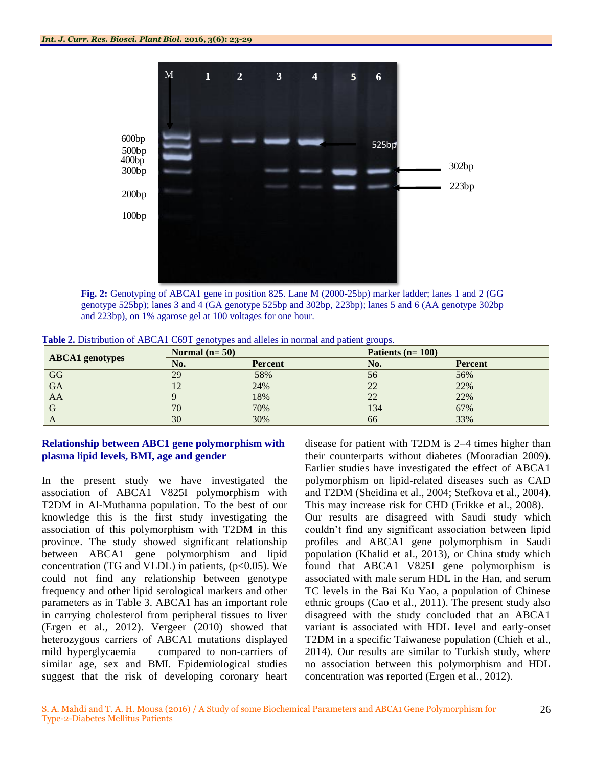

**Fig. 2:** Genotyping of ABCA1 gene in position 825. Lane M (2000-25bp) marker ladder; lanes 1 and 2 (GG genotype 525bp); lanes 3 and 4 (GA genotype 525bp and 302bp, 223bp); lanes 5 and 6 (AA genotype 302bp and 223bp), on 1% agarose gel at 100 voltages for one hour.

|                        | Normal $(n=50)$ |                | Patients $(n=100)$ |                |
|------------------------|-----------------|----------------|--------------------|----------------|
| <b>ABCA1</b> genotypes | No.             | <b>Percent</b> | No.                | <b>Percent</b> |
| GG                     | 29              | 58%            | 56                 | 56%            |
| <b>GA</b>              | 12              | 24%            | 22                 | 22%            |
| AA                     |                 | 18%            | 22                 | 22%            |
| G                      | 70              | 70%            | 134                | 67%            |
| A                      | 30              | 30%            | 66                 | 33%            |

**Table 2.** Distribution of ABCA1 C69T genotypes and alleles in normal and patient groups.

#### **Relationship between ABC1 gene polymorphism with plasma lipid levels, BMI, age and gender**

In the present study we have investigated the association of ABCA1 V825I polymorphism with T2DM in Al-Muthanna population. To the best of our knowledge this is the first study investigating the association of this polymorphism with T2DM in this province. The study showed significant relationship between ABCA1 gene polymorphism and lipid concentration (TG and VLDL) in patients,  $(p<0.05)$ . We could not find any relationship between genotype frequency and other lipid serological markers and other parameters as in Table 3. ABCA1 has an important role in carrying cholesterol from peripheral tissues to liver (Ergen et al., 2012). Vergeer (2010) showed that heterozygous carriers of ABCA1 mutations displayed mild hyperglycaemia compared to non-carriers of similar age, sex and BMI. Epidemiological studies suggest that the risk of developing coronary heart

disease for patient with T2DM is 2–4 times higher than their counterparts without diabetes (Mooradian 2009). Earlier studies have investigated the effect of ABCA1 polymorphism on lipid-related diseases such as CAD and T2DM (Sheidina et al., 2004; Stefkova et al., 2004). This may increase risk for CHD (Frikke et al., 2008).

Our results are disagreed with Saudi study which couldn't find any significant association between lipid profiles and ABCA1 gene polymorphism in Saudi population (Khalid et al., 2013), or China study which found that ABCA1 V825I gene polymorphism is associated with male serum HDL in the Han, and serum TC levels in the Bai Ku Yao, a population of Chinese ethnic groups (Cao et al., 2011). The present study also disagreed with the study concluded that an ABCA1 variant is associated with HDL level and early-onset T2DM in a specific Taiwanese population (Chieh et al., 2014). Our results are similar to Turkish study, where no association between this polymorphism and HDL concentration was reported (Ergen et al., 2012).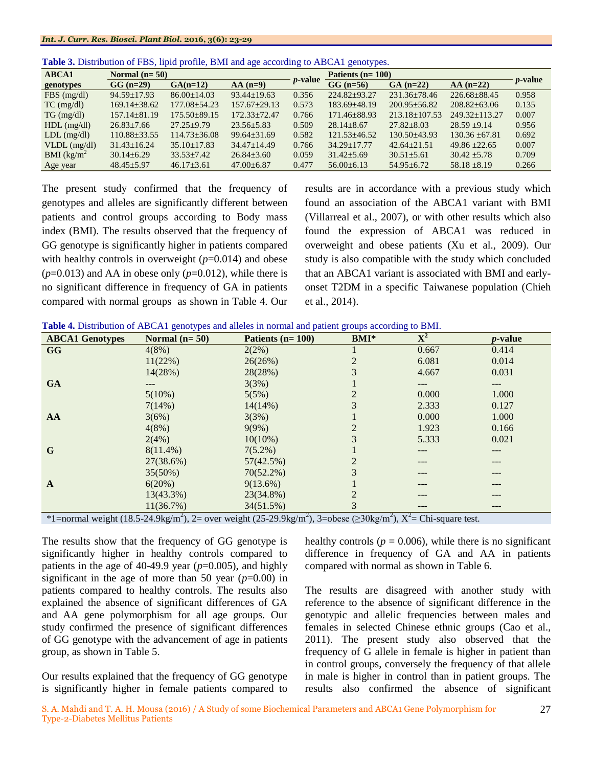| <b>ABCA1</b>                       | Normal $(n=50)$    |                    |                    |                 | Patients $(n=100)$ |                     |                    |                 |
|------------------------------------|--------------------|--------------------|--------------------|-----------------|--------------------|---------------------|--------------------|-----------------|
| genotypes                          | $GG (n=29)$        | $GA(n=12)$         | $AA(n=9)$          | <i>p</i> -value | $GG (n=56)$        | $GA(n=22)$          | $AA(n=22)$         | <i>p</i> -value |
| $FBS$ (mg/dl)                      | $94.59 + 17.93$    | $86.00 \pm 14.03$  | $93.44+19.63$      | 0.356           | $224.82 \pm 93.27$ | $231.36 \pm 78.46$  | $226.68 \pm 88.45$ | 0.958           |
| $TC$ (mg/dl)                       | $169.14 \pm 38.62$ | $177.08 \pm 54.23$ | $157.67 \pm 29.13$ | 0.573           | $183.69 \pm 48.19$ | $200.95 \pm 56.82$  | $208.82 + 63.06$   | 0.135           |
| $TG \, (mg/dl)$                    | $157.14 \pm 81.19$ | $175.50 \pm 89.15$ | $172.33 \pm 72.47$ | 0.766           | 171.46±88.93       | $213.18 \pm 107.53$ | $249.32+113.27$    | 0.007           |
| $HDL$ (mg/dl)                      | $26.83 \pm 7.66$   | $27.25 \pm 9.79$   | $23.56 + 5.83$     | 0.509           | $28.14 \pm 8.67$   | $27.82 + 8.03$      | $28.59 + 9.14$     | 0.956           |
| $LDL$ (mg/dl)                      | $110.88 \pm 33.55$ | $114.73 \pm 36.08$ | $99.64 \pm 31.69$  | 0.582           | $121.53 \pm 46.52$ | $130.50\pm43.93$    | $130.36 \pm 67.81$ | 0.692           |
| $VLDL$ (mg/dl)                     | $31.43 + 16.24$    | $35.10 \pm 17.83$  | $34.47 + 14.49$    | 0.766           | $34.29 + 17.77$    | $42.64 + 21.51$     | $49.86 \pm 22.65$  | 0.007           |
| BMI $\frac{\text{kg}}{\text{m}^2}$ | $30.14 \pm 6.29$   | $33.53 \pm 7.42$   | $26.84 + 3.60$     | 0.059           | $31.42 + 5.69$     | $30.51 + 5.61$      | $30.42 + 5.78$     | 0.709           |
| Age year                           | $48.45 + 5.97$     | $46.17 \pm 3.61$   | $47.00 \pm 6.87$   | 0.477           | $56.00\pm 6.13$    | $54.95 \pm 6.72$    | $58.18 \pm 8.19$   | 0.266           |

**Table 3.** Distribution of FBS, lipid profile, BMI and age according to ABCA1 genotypes.

The present study confirmed that the frequency of genotypes and alleles are significantly different between patients and control groups according to Body mass index (BMI). The results observed that the frequency of GG genotype is significantly higher in patients compared with healthy controls in overweight ( $p=0.014$ ) and obese  $(p=0.013)$  and AA in obese only  $(p=0.012)$ , while there is no significant difference in frequency of GA in patients compared with normal groups as shown in Table 4. Our

results are in accordance with a previous study which found an association of the ABCA1 variant with BMI (Villarreal et al., 2007), or with other results which also found the expression of ABCA1 was reduced in overweight and obese patients (Xu et al., 2009). Our study is also compatible with the study which concluded that an ABCA1 variant is associated with BMI and earlyonset T2DM in a specific Taiwanese population (Chieh et al., 2014).

| <b>ABCA1 Genotypes</b> | Normal $(n=50)$ | Patients $(n=100)$ | <b>BMI*</b>     | $\overline{\mathbf{X}^2}$ | <i>p</i> -value |
|------------------------|-----------------|--------------------|-----------------|---------------------------|-----------------|
| <b>GG</b>              | 4(8%)           | 2(2%)              |                 | 0.667                     | 0.414           |
|                        | 11(22%)         | 26(26%)            |                 | 6.081                     | 0.014           |
|                        | 14(28%)         | 28(28%)            | 3               | 4.667                     | 0.031           |
| <b>GA</b>              |                 | 3(3%)              |                 |                           |                 |
|                        | 5(10%)          | 5(5%)              |                 | 0.000                     | 1.000           |
|                        | 7(14%)          | $14(14\%)$         | 3               | 2.333                     | 0.127           |
| AA                     | 3(6%)           | 3(3%)              |                 | 0.000                     | 1.000           |
|                        | 4(8%)           | 9(9%)              |                 | 1.923                     | 0.166           |
|                        | 2(4%)           | $10(10\%)$         | 3               | 5.333                     | 0.021           |
| G                      | $8(11.4\%)$     | $7(5.2\%)$         |                 | ---                       | ---             |
|                        | 27(38.6%)       | 57(42.5%)          |                 |                           |                 |
|                        | 35(50%)         | $70(52.2\%)$       | 3               | ---                       | ---             |
| $\mathbf{A}$           | 6(20%)          | $9(13.6\%)$        |                 | ---                       | ---             |
|                        | 13(43.3%)       | 23(34.8%)          | $\mathfrak{D}$  | ---                       | ---             |
|                        | 11(36.7%)       | 34(51.5%)          | 3<br>$\sqrt{2}$ | ---                       | ---             |

\*1=normal weight (18.5-24.9kg/m<sup>2</sup>), 2= over weight (25-29.9kg/m<sup>2</sup>), 3=obese ( $\geq$ 30kg/m<sup>2</sup>), X<sup>2</sup>= Chi-square test.

The results show that the frequency of GG genotype is significantly higher in healthy controls compared to patients in the age of 40-49.9 year  $(p=0.005)$ , and highly significant in the age of more than 50 year  $(p=0.00)$  in patients compared to healthy controls. The results also explained the absence of significant differences of GA and AA gene polymorphism for all age groups. Our study confirmed the presence of significant differences of GG genotype with the advancement of age in patients group, as shown in Table 5.

Our results explained that the frequency of GG genotype is significantly higher in female patients compared to healthy controls ( $p = 0.006$ ), while there is no significant difference in frequency of GA and AA in patients compared with normal as shown in Table 6.

The results are disagreed with another study with reference to the absence of significant difference in the genotypic and allelic frequencies between males and females in selected Chinese ethnic groups (Cao et al., 2011). The present study also observed that the frequency of G allele in female is higher in patient than in control groups, conversely the frequency of that allele in male is higher in control than in patient groups. The results also confirmed the absence of significant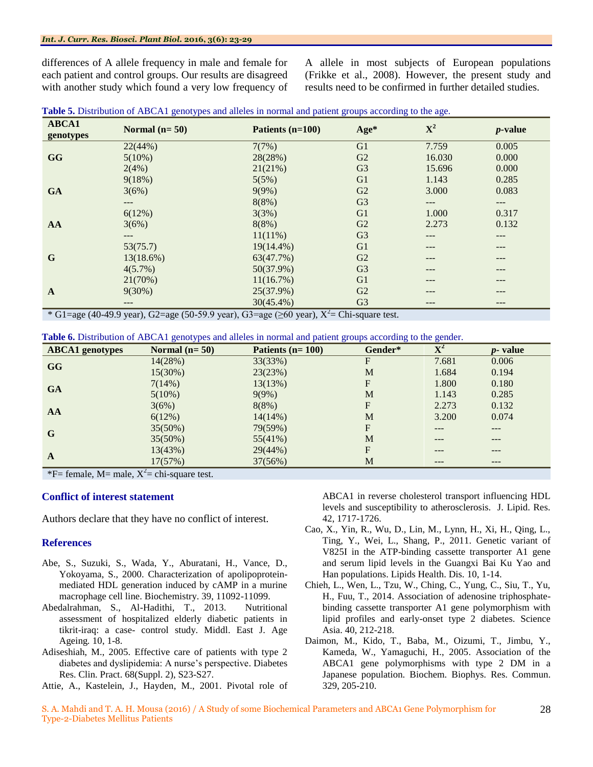differences of A allele frequency in male and female for each patient and control groups. Our results are disagreed with another study which found a very low frequency of A allele in most subjects of European populations (Frikke et al., 2008). However, the present study and results need to be confirmed in further detailed studies.

| Table 5. Distribution of ABCA1 genotypes and alleles in normal and patient groups according to the age. |  |  |  |
|---------------------------------------------------------------------------------------------------------|--|--|--|
| .                                                                                                       |  |  |  |

| <b>ABCA1</b><br>genotypes | Normal $(n=50)$ | Patients $(n=100)$ | Age*           | ${\bf X}^2$ | <i>p</i> -value |
|---------------------------|-----------------|--------------------|----------------|-------------|-----------------|
|                           | 22(44%)         | 7(7%)              | G <sub>1</sub> | 7.759       | 0.005           |
| <b>GG</b>                 | $5(10\%)$       | 28(28%)            | G2             | 16.030      | 0.000           |
|                           | 2(4%)           | 21(21%)            | G <sub>3</sub> | 15.696      | 0.000           |
|                           | 9(18%)          | 5(5%)              | G <sub>1</sub> | 1.143       | 0.285           |
| <b>GA</b>                 | 3(6%)           | 9(9%)              | G2             | 3.000       | 0.083           |
|                           | $---$           | 8(8%)              | G <sub>3</sub> | ---         | ---             |
|                           | 6(12%)          | 3(3%)              | G <sub>1</sub> | 1.000       | 0.317           |
| AA                        | 3(6%)           | 8(8%)              | G <sub>2</sub> | 2.273       | 0.132           |
|                           | $---$           | $11(11\%)$         | G <sub>3</sub> | ---         | ---             |
|                           | 53(75.7)        | 19(14.4%)          | G <sub>1</sub> | ---         | ---             |
| G                         | $13(18.6\%)$    | 63(47.7%)          | G2             | ---         | ---             |
|                           | $4(5.7\%)$      | $50(37.9\%)$       | G <sub>3</sub> | ---         | ---             |
|                           | 21(70%)         | 11(16.7%)          | G <sub>1</sub> | ---         | ---             |
| $\mathbf{A}$              | $9(30\%)$       | 25(37.9%)          | G <sub>2</sub> | ---         | ---             |
|                           | ---             | $30(45.4\%)$       | G <sub>3</sub> | ---         | ---             |

\* G1=age (40-49.9 year), G2=age (50-59.9 year), G3=age (≥60 year),  $X^2$ = Chi-square test.

**Table 6.** Distribution of ABCA1 genotypes and alleles in normal and patient groups according to the gender.

| <b>ABCA1</b> genotypes                                           | Normal $(n=50)$ | Patients $(n=100)$ | Gender*      | $\overline{\textbf{X}^2}$ | <i>p</i> - value |  |  |
|------------------------------------------------------------------|-----------------|--------------------|--------------|---------------------------|------------------|--|--|
| <b>GG</b>                                                        | 14(28%)         | 33(33%)            | $\mathbf{F}$ | 7.681                     | 0.006            |  |  |
|                                                                  | 15(30%)         | 23(23%)            | M            | 1.684                     | 0.194            |  |  |
|                                                                  | 7(14%)          | 13(13%)            | F            | 1.800                     | 0.180            |  |  |
| <b>GA</b>                                                        | $5(10\%)$       | 9(9%)              | M            | 1.143                     | 0.285            |  |  |
|                                                                  | 3(6%)           | 8(8%)              | F            | 2.273                     | 0.132            |  |  |
| AA                                                               | 6(12%)          | $14(14\%)$         | M            | 3.200                     | 0.074            |  |  |
|                                                                  | 35(50%)         | 79(59%)            | F            | ---                       | ---              |  |  |
| G                                                                | 35(50%)         | 55(41%)            | M            | ---                       | ---              |  |  |
|                                                                  | 13(43%)         | 29(44%)            | F            | ---                       | ---              |  |  |
| A                                                                | 17(57%)         | 37(56%)            | M            | ---                       | ---              |  |  |
| $\ast$ $\Gamma$ formula M mole $V^2$<br>and a more and the state |                 |                    |              |                           |                  |  |  |

\*F= female, M= male,  $X^2$ = chi-square test.

#### **Conflict of interest statement**

Authors declare that they have no conflict of interest.

#### **References**

- Abe, S., Suzuki, S., Wada, Y., Aburatani, H., Vance, D., Yokoyama, S., 2000. Characterization of apolipoproteinmediated HDL generation induced by cAMP in a murine macrophage cell line. Biochemistry. 39, 11092-11099.
- Abedalrahman, S., Al-Hadithi, T., 2013.Nutritional assessment of hospitalized elderly diabetic patients in tikrit-iraq: a case- control study. Middl. East J. Age Ageing*.* 10, 1-8.
- Adiseshiah, M., 2005. Effective care of patients with type 2 diabetes and dyslipidemia: A nurse's perspective. Diabetes Res. Clin. Pract. 68(Suppl. 2), S23-S27.
- Attie, A., Kastelein, J., Hayden, M., 2001. Pivotal role of

ABCA1 in reverse cholesterol transport influencing HDL levels and susceptibility to atherosclerosis. J. Lipid. Res. 42, 1717-1726.

- Cao, X., Yin, R., Wu, D., Lin, M., Lynn, H., Xi, H., Qing, L., Ting, Y., Wei, L., Shang, P., 2011. Genetic variant of V825I in the ATP-binding cassette transporter A1 gene and serum lipid levels in the Guangxi Bai Ku Yao and Han populations. Lipids Health. Dis. 10, 1-14.
- Chieh, L., Wen, L., Tzu, W., Ching, C., Yung, C., Siu, T., Yu, H., Fuu, T., 2014. Association of adenosine triphosphatebinding cassette transporter A1 gene polymorphism with lipid profiles and early-onset type 2 diabetes. Science Asia. 40, 212-218.
- Daimon, M., Kido, T., Baba, M., Oizumi, T., Jimbu, Y., Kameda, W., Yamaguchi, H., 2005. Association of the ABCA1 gene polymorphisms with type 2 DM in a Japanese population. Biochem. Biophys. Res. Commun. 329, 205-210.